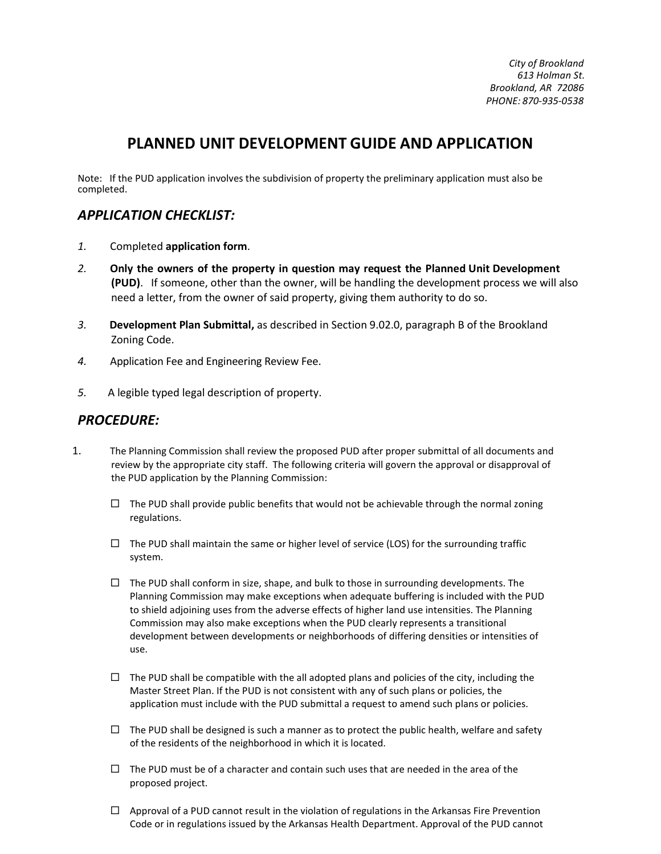*City of Brookland 613 Holman St. Brookland, AR 72086 PHONE: 870-935-0538*

## **PLANNED UNIT DEVELOPMENT GUIDE AND APPLICATION**

Note: If the PUD application involves the subdivision of property the preliminary application must also be completed.

## *APPLICATION CHECKLIST:*

- *1.* Completed **application form**.
- *2.* **Only the owners of the property in question may request the Planned Unit Development (PUD)**. If someone, other than the owner, will be handling the development process we will also need a letter, from the owner of said property, giving them authority to do so.
- *3.* **Development Plan Submittal,** as described in Section 9.02.0, paragraph B of the Brookland Zoning Code.
- *4.* Application Fee and Engineering Review Fee.
- *5.* A legible typed legal description of property.

## *PROCEDURE:*

- 1. The Planning Commission shall review the proposed PUD after proper submittal of all documents and review by the appropriate city staff. The following criteria will govern the approval or disapproval of the PUD application by the Planning Commission:
	- $\Box$  The PUD shall provide public benefits that would not be achievable through the normal zoning regulations.
	- $\Box$  The PUD shall maintain the same or higher level of service (LOS) for the surrounding traffic system.
	- $\Box$  The PUD shall conform in size, shape, and bulk to those in surrounding developments. The Planning Commission may make exceptions when adequate buffering is included with the PUD to shield adjoining uses from the adverse effects of higher land use intensities. The Planning Commission may also make exceptions when the PUD clearly represents a transitional development between developments or neighborhoods of differing densities or intensities of use.
	- $\Box$  The PUD shall be compatible with the all adopted plans and policies of the city, including the Master Street Plan. If the PUD is not consistent with any of such plans or policies, the application must include with the PUD submittal a request to amend such plans or policies.
	- $\Box$  The PUD shall be designed is such a manner as to protect the public health, welfare and safety of the residents of the neighborhood in which it is located.
	- $\Box$  The PUD must be of a character and contain such uses that are needed in the area of the proposed project.
	- $\Box$  Approval of a PUD cannot result in the violation of regulations in the Arkansas Fire Prevention Code or in regulations issued by the Arkansas Health Department. Approval of the PUD cannot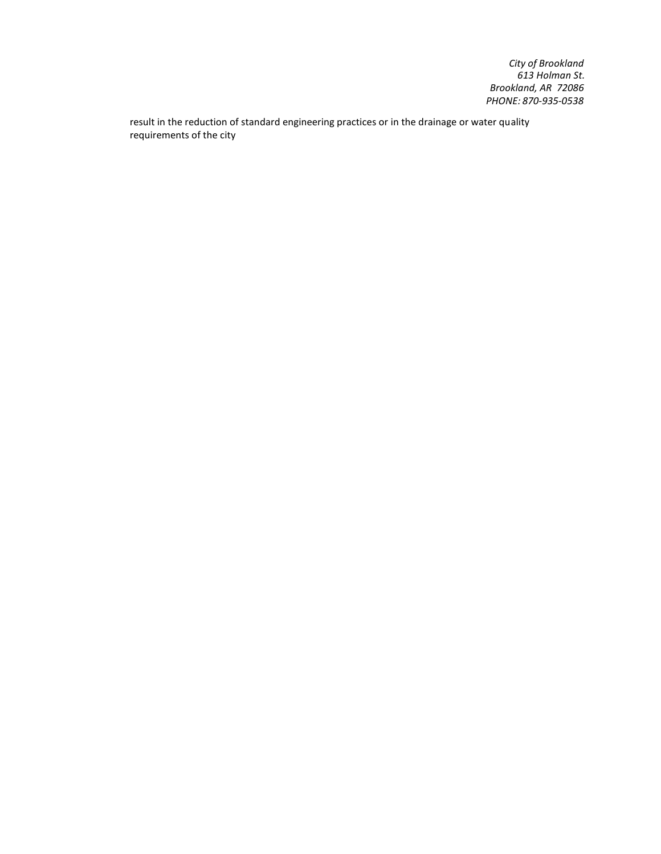*City of Brookland 613 Holman St. Brookland, AR 72086 PHONE: 870-935-0538*

result in the reduction of standard engineering practices or in the drainage or water quality requirements of the city